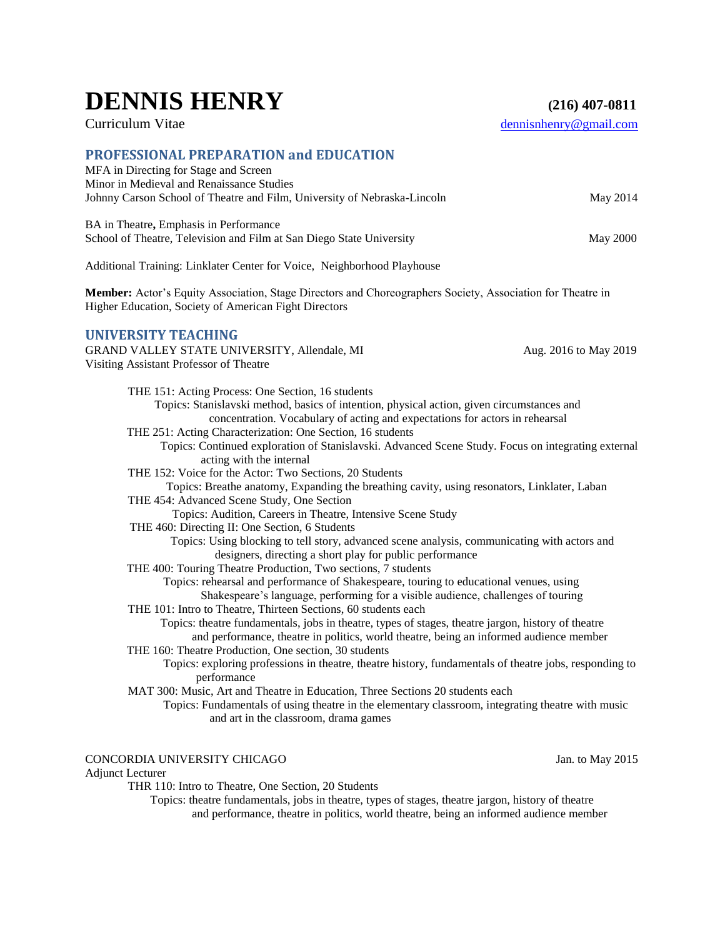# **DENNIS HENRY (216) 407-0811**

# Curriculum Vitae dennisnhenry@gmail.com

### **PROFESSIONAL PREPARATION and EDUCATION**

| MFA in Directing for Stage and Screen                                                                                                                               |                       |  |
|---------------------------------------------------------------------------------------------------------------------------------------------------------------------|-----------------------|--|
| Minor in Medieval and Renaissance Studies<br>Johnny Carson School of Theatre and Film, University of Nebraska-Lincoln                                               | May 2014              |  |
|                                                                                                                                                                     |                       |  |
| BA in Theatre, Emphasis in Performance                                                                                                                              |                       |  |
| School of Theatre, Television and Film at San Diego State University                                                                                                | <b>May 2000</b>       |  |
| Additional Training: Linklater Center for Voice, Neighborhood Playhouse                                                                                             |                       |  |
| Member: Actor's Equity Association, Stage Directors and Choreographers Society, Association for Theatre in<br>Higher Education, Society of American Fight Directors |                       |  |
| <b>UNIVERSITY TEACHING</b>                                                                                                                                          |                       |  |
| GRAND VALLEY STATE UNIVERSITY, Allendale, MI                                                                                                                        | Aug. 2016 to May 2019 |  |
| Visiting Assistant Professor of Theatre                                                                                                                             |                       |  |
|                                                                                                                                                                     |                       |  |
| THE 151: Acting Process: One Section, 16 students<br>Topics: Stanislavski method, basics of intention, physical action, given circumstances and                     |                       |  |
| concentration. Vocabulary of acting and expectations for actors in rehearsal                                                                                        |                       |  |
| THE 251: Acting Characterization: One Section, 16 students                                                                                                          |                       |  |
| Topics: Continued exploration of Stanislavski. Advanced Scene Study. Focus on integrating external                                                                  |                       |  |
| acting with the internal                                                                                                                                            |                       |  |
| THE 152: Voice for the Actor: Two Sections, 20 Students                                                                                                             |                       |  |
| Topics: Breathe anatomy, Expanding the breathing cavity, using resonators, Linklater, Laban                                                                         |                       |  |
| THE 454: Advanced Scene Study, One Section                                                                                                                          |                       |  |
| Topics: Audition, Careers in Theatre, Intensive Scene Study                                                                                                         |                       |  |
| THE 460: Directing II: One Section, 6 Students                                                                                                                      |                       |  |
| Topics: Using blocking to tell story, advanced scene analysis, communicating with actors and                                                                        |                       |  |
| designers, directing a short play for public performance                                                                                                            |                       |  |
| THE 400: Touring Theatre Production, Two sections, 7 students                                                                                                       |                       |  |
| Topics: rehearsal and performance of Shakespeare, touring to educational venues, using                                                                              |                       |  |
| Shakespeare's language, performing for a visible audience, challenges of touring                                                                                    |                       |  |
| THE 101: Intro to Theatre, Thirteen Sections, 60 students each                                                                                                      |                       |  |
| Topics: theatre fundamentals, jobs in theatre, types of stages, theatre jargon, history of theatre                                                                  |                       |  |
| and performance, theatre in politics, world theatre, being an informed audience member                                                                              |                       |  |
| THE 160: Theatre Production, One section, 30 students<br>Topics: exploring professions in theatre, theatre history, fundamentals of theatre jobs, responding to     |                       |  |
| performance                                                                                                                                                         |                       |  |
| MAT 300: Music, Art and Theatre in Education, Three Sections 20 students each                                                                                       |                       |  |
| Topics: Fundamentals of using theatre in the elementary classroom, integrating theatre with music                                                                   |                       |  |
| and art in the classroom, drama games                                                                                                                               |                       |  |

### CONCORDIA UNIVERSITY CHICAGO Jan. to May 2015

Adjunct Lecturer

THR 110: Intro to Theatre, One Section, 20 Students

 Topics: theatre fundamentals, jobs in theatre, types of stages, theatre jargon, history of theatre and performance, theatre in politics, world theatre, being an informed audience member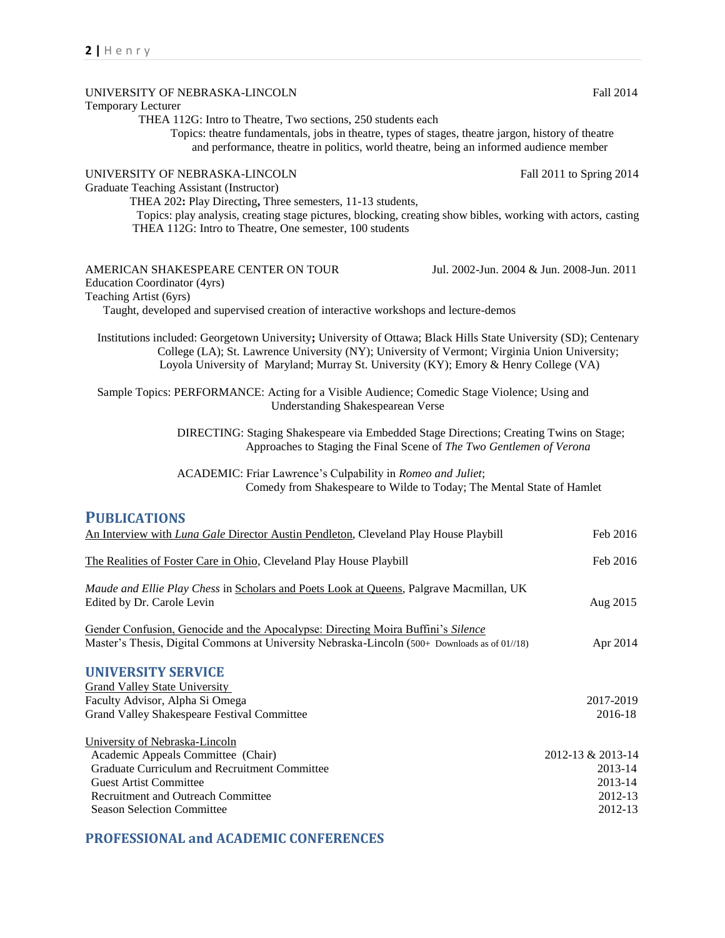| UNIVERSITY OF NEBRASKA-LINCOLN                                                                                                                                          | Fall 2014                                 |
|-------------------------------------------------------------------------------------------------------------------------------------------------------------------------|-------------------------------------------|
| Temporary Lecturer                                                                                                                                                      |                                           |
| THEA 112G: Intro to Theatre, Two sections, 250 students each<br>Topics: theatre fundamentals, jobs in theatre, types of stages, theatre jargon, history of theatre      |                                           |
| and performance, theatre in politics, world theatre, being an informed audience member                                                                                  |                                           |
|                                                                                                                                                                         |                                           |
| UNIVERSITY OF NEBRASKA-LINCOLN                                                                                                                                          | Fall 2011 to Spring 2014                  |
| Graduate Teaching Assistant (Instructor)                                                                                                                                |                                           |
| THEA 202: Play Directing, Three semesters, 11-13 students,                                                                                                              |                                           |
| Topics: play analysis, creating stage pictures, blocking, creating show bibles, working with actors, casting<br>THEA 112G: Intro to Theatre, One semester, 100 students |                                           |
|                                                                                                                                                                         |                                           |
|                                                                                                                                                                         |                                           |
| AMERICAN SHAKESPEARE CENTER ON TOUR                                                                                                                                     | Jul. 2002-Jun. 2004 & Jun. 2008-Jun. 2011 |
| Education Coordinator (4yrs)                                                                                                                                            |                                           |
| Teaching Artist (6yrs)                                                                                                                                                  |                                           |
| Taught, developed and supervised creation of interactive workshops and lecture-demos                                                                                    |                                           |
| Institutions included: Georgetown University; University of Ottawa; Black Hills State University (SD); Centenary                                                        |                                           |
| College (LA); St. Lawrence University (NY); University of Vermont; Virginia Union University;                                                                           |                                           |
| Loyola University of Maryland; Murray St. University (KY); Emory & Henry College (VA)                                                                                   |                                           |
|                                                                                                                                                                         |                                           |
| Sample Topics: PERFORMANCE: Acting for a Visible Audience; Comedic Stage Violence; Using and                                                                            |                                           |
| Understanding Shakespearean Verse                                                                                                                                       |                                           |
| DIRECTING: Staging Shakespeare via Embedded Stage Directions; Creating Twins on Stage;                                                                                  |                                           |
| Approaches to Staging the Final Scene of The Two Gentlemen of Verona                                                                                                    |                                           |
|                                                                                                                                                                         |                                           |
| ACADEMIC: Friar Lawrence's Culpability in Romeo and Juliet;                                                                                                             |                                           |
| Comedy from Shakespeare to Wilde to Today; The Mental State of Hamlet                                                                                                   |                                           |
| <b>PUBLICATIONS</b>                                                                                                                                                     |                                           |
| An Interview with Luna Gale Director Austin Pendleton, Cleveland Play House Playbill                                                                                    | Feb 2016                                  |
|                                                                                                                                                                         |                                           |
| The Realities of Foster Care in Ohio, Cleveland Play House Playbill                                                                                                     | Feb 2016                                  |
|                                                                                                                                                                         |                                           |
| Maude and Ellie Play Chess in Scholars and Poets Look at Queens, Palgrave Macmillan, UK                                                                                 |                                           |
| Edited by Dr. Carole Levin                                                                                                                                              | Aug 2015                                  |
| Gender Confusion, Genocide and the Apocalypse: Directing Moira Buffini's Silence                                                                                        |                                           |
| Master's Thesis, Digital Commons at University Nebraska-Lincoln (500+ Downloads as of 01//18)                                                                           | Apr 2014                                  |
|                                                                                                                                                                         |                                           |
| <b>UNIVERSITY SERVICE</b>                                                                                                                                               |                                           |
| <b>Grand Valley State University</b>                                                                                                                                    |                                           |
| Faculty Advisor, Alpha Si Omega                                                                                                                                         | 2017-2019                                 |
| Grand Valley Shakespeare Festival Committee                                                                                                                             | 2016-18                                   |
| University of Nebraska-Lincoln                                                                                                                                          |                                           |
| Academic Appeals Committee (Chair)                                                                                                                                      | 2012-13 & 2013-14                         |
| Graduate Curriculum and Recruitment Committee                                                                                                                           | 2013-14                                   |
| <b>Guest Artist Committee</b>                                                                                                                                           | 2013-14                                   |
| Recruitment and Outreach Committee                                                                                                                                      | 2012-13                                   |
| <b>Season Selection Committee</b>                                                                                                                                       | 2012-13                                   |
|                                                                                                                                                                         |                                           |

# **PROFESSIONAL and ACADEMIC CONFERENCES**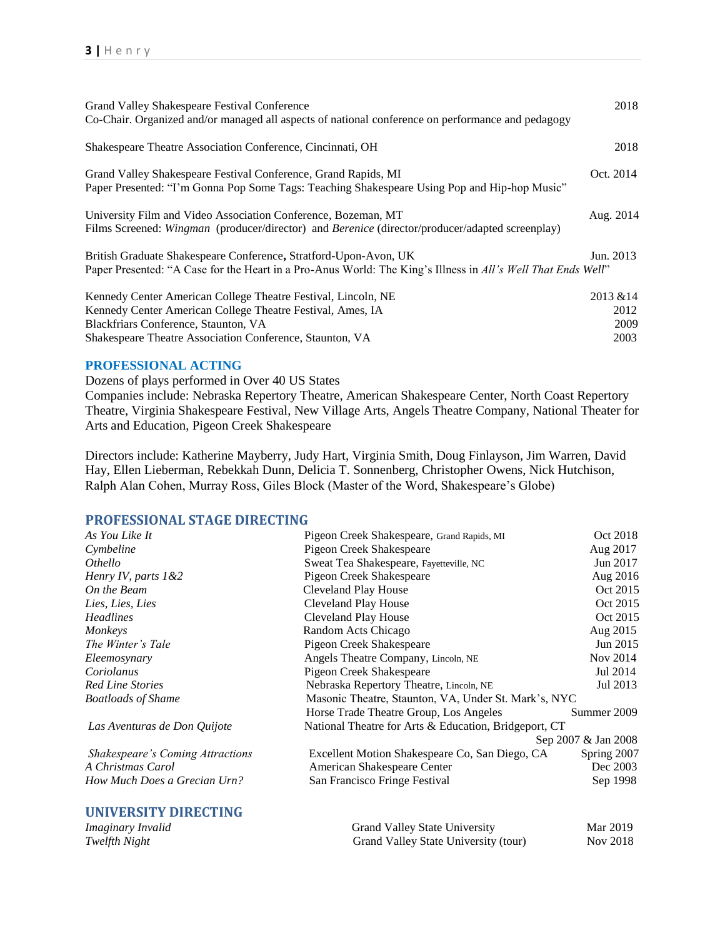| Grand Valley Shakespeare Festival Conference<br>Co-Chair. Organized and/or managed all aspects of national conference on performance and pedagogy                                                                               | 2018                              |
|---------------------------------------------------------------------------------------------------------------------------------------------------------------------------------------------------------------------------------|-----------------------------------|
| Shakespeare Theatre Association Conference, Cincinnati, OH                                                                                                                                                                      | 2018                              |
| Grand Valley Shakespeare Festival Conference, Grand Rapids, MI<br>Paper Presented: "I'm Gonna Pop Some Tags: Teaching Shakespeare Using Pop and Hip-hop Music"                                                                  | Oct. 2014                         |
| University Film and Video Association Conference, Bozeman, MT<br>Films Screened: Wingman (producer/director) and Berenice (director/producer/adapted screenplay)                                                                | Aug. 2014                         |
| British Graduate Shakespeare Conference, Stratford-Upon-Avon, UK<br>Paper Presented: "A Case for the Heart in a Pro-Anus World: The King's Illness in All's Well That Ends Well"                                                | Jun. 2013                         |
| Kennedy Center American College Theatre Festival, Lincoln, NE<br>Kennedy Center American College Theatre Festival, Ames, IA<br>Blackfriars Conference, Staunton, VA<br>Shakespeare Theatre Association Conference, Staunton, VA | 2013 & 14<br>2012<br>2009<br>2003 |

#### **PROFESSIONAL ACTING**

Dozens of plays performed in Over 40 US States Companies include: Nebraska Repertory Theatre, American Shakespeare Center, North Coast Repertory Theatre, Virginia Shakespeare Festival, New Village Arts, Angels Theatre Company, National Theater for Arts and Education, Pigeon Creek Shakespeare

Directors include: Katherine Mayberry, Judy Hart, Virginia Smith, Doug Finlayson, Jim Warren, David Hay, Ellen Lieberman, Rebekkah Dunn, Delicia T. Sonnenberg, Christopher Owens, Nick Hutchison, Ralph Alan Cohen, Murray Ross, Giles Block (Master of the Word, Shakespeare's Globe)

#### **PROFESSIONAL STAGE DIRECTING**

| As You Like It                   | Pigeon Creek Shakespeare, Grand Rapids, MI            | Oct 2018            |
|----------------------------------|-------------------------------------------------------|---------------------|
| Cymbeline                        | Pigeon Creek Shakespeare                              | Aug 2017            |
| <i>Othello</i>                   | Sweat Tea Shakespeare, Fayetteville, NC               | Jun 2017            |
| Henry IV, parts $1&42$           | Pigeon Creek Shakespeare                              | Aug 2016            |
| On the Beam                      | Cleveland Play House                                  | Oct 2015            |
| Lies, Lies, Lies                 | Cleveland Play House                                  | Oct 2015            |
| <b>Headlines</b>                 | Cleveland Play House                                  | Oct 2015            |
| Monkeys                          | Random Acts Chicago                                   | Aug 2015            |
| The Winter's Tale                | Pigeon Creek Shakespeare                              | Jun 2015            |
| Eleemosynary                     | Angels Theatre Company, Lincoln, NE                   | Nov 2014            |
| Coriolanus                       | Pigeon Creek Shakespeare                              | Jul 2014            |
| <b>Red Line Stories</b>          | Nebraska Repertory Theatre, Lincoln, NE               | Jul 2013            |
| <b>Boatloads of Shame</b>        | Masonic Theatre, Staunton, VA, Under St. Mark's, NYC  |                     |
|                                  | Horse Trade Theatre Group, Los Angeles                | Summer 2009         |
| Las Aventuras de Don Quijote     | National Theatre for Arts & Education, Bridgeport, CT |                     |
|                                  |                                                       | Sep 2007 & Jan 2008 |
| Shakespeare's Coming Attractions | Excellent Motion Shakespeare Co, San Diego, CA        | Spring 2007         |
| A Christmas Carol                | American Shakespeare Center                           | Dec 2003            |
| How Much Does a Grecian Urn?     | San Francisco Fringe Festival                         | Sep 1998            |
| UNIVERSITY DIRECTING             |                                                       |                     |

| Imaginary Invalid | <b>Grand Valley State University</b> | Mar 2019        |
|-------------------|--------------------------------------|-----------------|
| Twelfth Night     | Grand Valley State University (tour) | <b>Nov 2018</b> |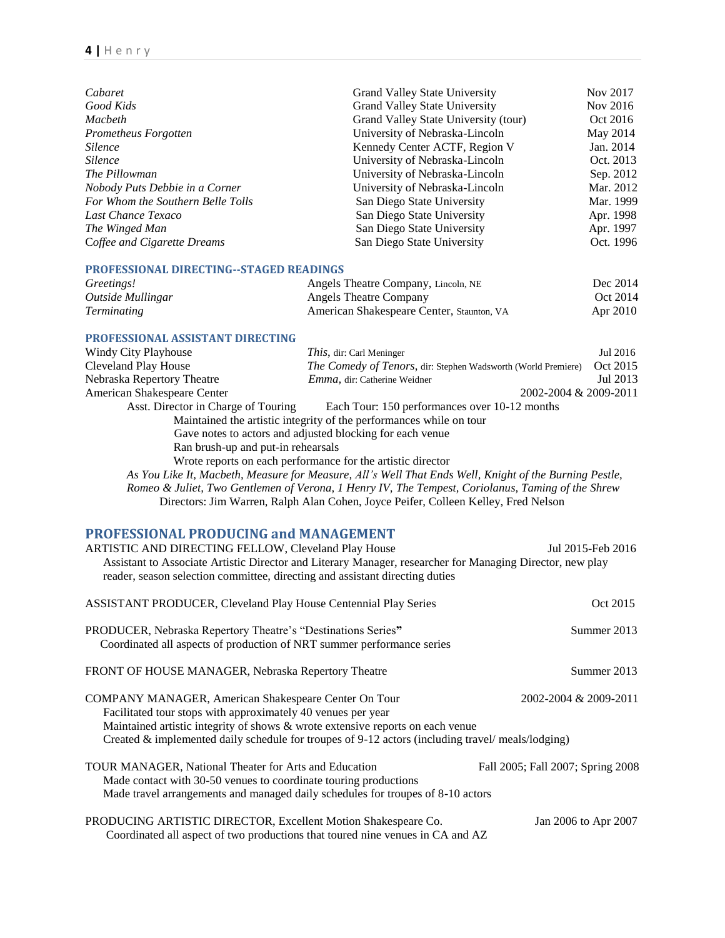| Cabaret                           | Grand Valley State University        | Nov 2017  |
|-----------------------------------|--------------------------------------|-----------|
| Good Kids                         | <b>Grand Valley State University</b> | Nov 2016  |
| Macbeth                           | Grand Valley State University (tour) | Oct 2016  |
| Prometheus Forgotten              | University of Nebraska-Lincoln       | May 2014  |
| <i>Silence</i>                    | Kennedy Center ACTF, Region V        | Jan. 2014 |
| <i>Silence</i>                    | University of Nebraska-Lincoln       | Oct. 2013 |
| The Pillowman                     | University of Nebraska-Lincoln       | Sep. 2012 |
| Nobody Puts Debbie in a Corner    | University of Nebraska-Lincoln       | Mar. 2012 |
| For Whom the Southern Belle Tolls | San Diego State University           | Mar. 1999 |
| Last Chance Texaco                | San Diego State University           | Apr. 1998 |
| The Winged Man                    | San Diego State University           | Apr. 1997 |
| Coffee and Cigarette Dreams       | San Diego State University           | Oct. 1996 |

#### **PROFESSIONAL DIRECTING--STAGED READINGS**

| Greetings!         | Angels Theatre Company, Lincoln, NE       | Dec 2014 |
|--------------------|-------------------------------------------|----------|
| Outside Mullingar  | <b>Angels Theatre Company</b>             | Oct 2014 |
| <i>Terminating</i> | American Shakespeare Center, Staunton, VA | Apr 2010 |

#### **PROFESSIONAL ASSISTANT DIRECTING**

| Windy City Playhouse                | <i>This</i> , dir: Carl Meninger                                                                       | Jul 2016 |
|-------------------------------------|--------------------------------------------------------------------------------------------------------|----------|
| Cleveland Play House                | The Comedy of Tenors, dir: Stephen Wadsworth (World Premiere)                                          | Oct 2015 |
| Nebraska Repertory Theatre          | <i>Emma</i> , dir: Catherine Weidner                                                                   | Jul 2013 |
| American Shakespeare Center         | 2002-2004 & 2009-2011                                                                                  |          |
| Asst. Director in Charge of Touring | Each Tour: 150 performances over 10-12 months                                                          |          |
|                                     | Maintained the artistic integrity of the performances while on tour                                    |          |
|                                     | Gave notes to actors and adjusted blocking for each venue                                              |          |
| Ran brush-up and put-in rehearsals  |                                                                                                        |          |
|                                     | Wrote reports on each performance for the artistic director                                            |          |
|                                     | As You Like It, Macbeth, Measure for Measure, All's Well That Ends Well, Knight of the Burning Pestle, |          |
|                                     | Romeo & Juliet, Two Gentlemen of Verona, 1 Henry IV, The Tempest, Coriolanus, Taming of the Shrew      |          |

Directors: Jim Warren, Ralph Alan Cohen, Joyce Peifer, Colleen Kelley, Fred Nelson

## **PROFESSIONAL PRODUCING and MANAGEMENT**

| ARTISTIC AND DIRECTING FELLOW, Cleveland Play House<br>Assistant to Associate Artistic Director and Literary Manager, researcher for Managing Director, new play                                                                                                                                           | Jul 2015-Feb 2016                 |
|------------------------------------------------------------------------------------------------------------------------------------------------------------------------------------------------------------------------------------------------------------------------------------------------------------|-----------------------------------|
| reader, season selection committee, directing and assistant directing duties                                                                                                                                                                                                                               |                                   |
| <b>ASSISTANT PRODUCER, Cleveland Play House Centennial Play Series</b>                                                                                                                                                                                                                                     | Oct 2015                          |
| PRODUCER, Nebraska Repertory Theatre's "Destinations Series"<br>Coordinated all aspects of production of NRT summer performance series                                                                                                                                                                     | Summer 2013                       |
| FRONT OF HOUSE MANAGER, Nebraska Repertory Theatre                                                                                                                                                                                                                                                         | Summer 2013                       |
| COMPANY MANAGER, American Shakespeare Center On Tour<br>Facilitated tour stops with approximately 40 venues per year<br>Maintained artistic integrity of shows & wrote extensive reports on each venue<br>Created & implemented daily schedule for troupes of 9-12 actors (including travel/meals/lodging) | 2002-2004 & 2009-2011             |
| TOUR MANAGER, National Theater for Arts and Education<br>Made contact with 30-50 venues to coordinate touring productions<br>Made travel arrangements and managed daily schedules for troupes of 8-10 actors                                                                                               | Fall 2005; Fall 2007; Spring 2008 |
| PRODUCING ARTISTIC DIRECTOR, Excellent Motion Shakespeare Co.<br>Coordinated all aspect of two productions that toured nine venues in CA and AZ                                                                                                                                                            | Jan 2006 to Apr 2007              |